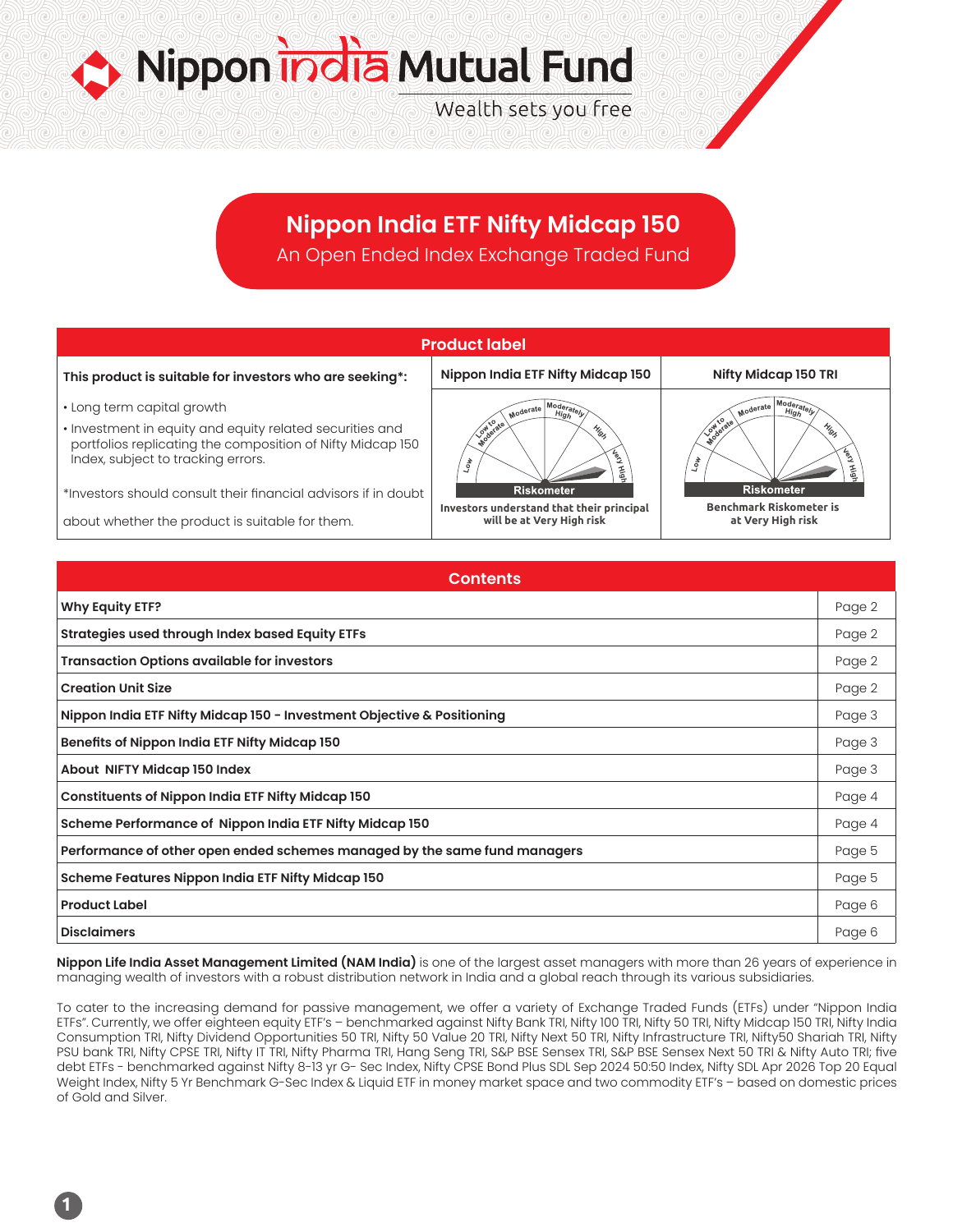Nippon india Mutual Fund Wealth sets you free

# **Nippon India ETF Nifty Midcap 150**

An Open Ended Index Exchange Traded Fund



| Contents                                                                  |        |  |
|---------------------------------------------------------------------------|--------|--|
| <b>Why Equity ETF?</b>                                                    | Page 2 |  |
| Strategies used through Index based Equity ETFs                           | Page 2 |  |
| <b>Transaction Options available for investors</b>                        | Page 2 |  |
| <b>Creation Unit Size</b>                                                 | Page 2 |  |
| Nippon India ETF Nifty Midcap 150 - Investment Objective & Positioning    | Page 3 |  |
| Benefits of Nippon India ETF Nifty Midcap 150                             | Page 3 |  |
| About NIFTY Midcap 150 Index                                              | Page 3 |  |
| <b>Constituents of Nippon India ETF Nifty Midcap 150</b>                  | Page 4 |  |
| Scheme Performance of Nippon India ETF Nifty Midcap 150                   | Page 4 |  |
| Performance of other open ended schemes managed by the same fund managers | Page 5 |  |
| Scheme Features Nippon India ETF Nifty Midcap 150                         | Page 5 |  |
| <b>Product Label</b>                                                      | Page 6 |  |
| <b>Disclaimers</b>                                                        | Page 6 |  |

**Nippon Life India Asset Management Limited (NAM India)** is one of the largest asset managers with more than 26 years of experience in managing wealth of investors with a robust distribution network in India and a global reach through its various subsidiaries.

To cater to the increasing demand for passive management, we offer a variety of Exchange Traded Funds (ETFs) under "Nippon India ETFs". Currently, we offer eighteen equity ETF's – benchmarked against Nifty Bank TRI, Nifty 100 TRI, Nifty 50 TRI, Nifty Midcap 150 TRI, Nifty India Consumption TRI, Nifty Dividend Opportunities 50 TRI, Nifty 50 Value 20 TRI, Nifty Next 50 TRI, Nifty Infrastructure TRI, Nifty50 Shariah TRI, Nifty PSU bank TRI, Nifty CPSE TRI, Nifty IT TRI, Nifty Pharma TRI, Hang Seng TRI, S&P BSE Sensex TRI, S&P BSE Sensex Next 50 TRI & Nifty Auto TRI; five debt ETFs - benchmarked against Nifty 8-13 yr G- Sec Index, Nifty CPSE Bond Plus SDL Sep 2024 50:50 Index, Nifty SDL Apr 2026 Top 20 Equal Weight Index, Nifty 5 Yr Benchmark G-Sec Index & Liquid ETF in money market space and two commodity ETF's – based on domestic prices of Gold and Silver.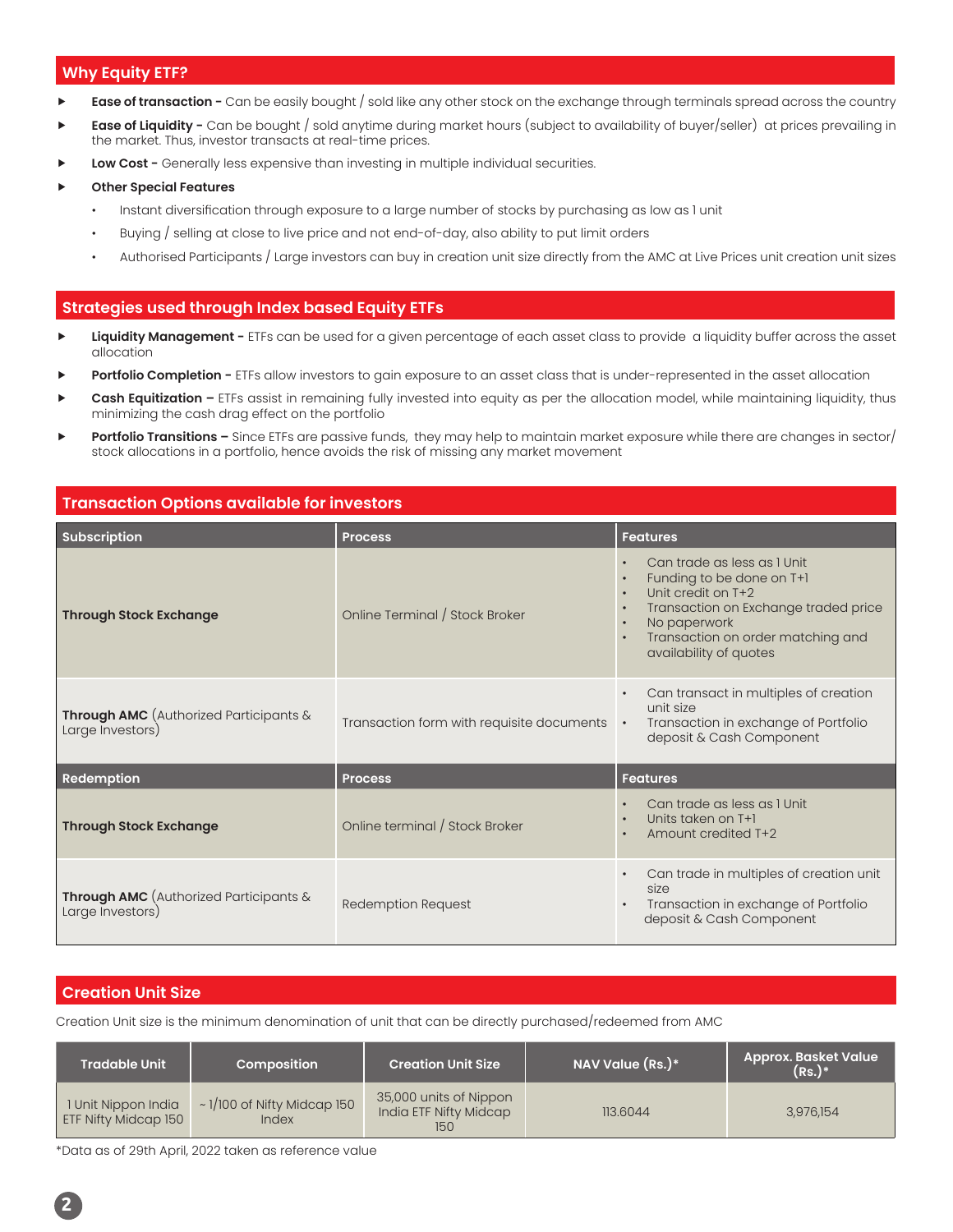### **Why Equity ETF?**

- **Ease of transaction -** Can be easily bought / sold like any other stock on the exchange through terminals spread across the country
- **Ease of Liquidity -** Can be bought / sold anytime during market hours (subject to availability of buyer/seller) at prices prevailing in the market. Thus, investor transacts at real-time prices.
- **Low Cost -** Generally less expensive than investing in multiple individual securities.

#### **Other Special Features**

- Instant diversification through exposure to a large number of stocks by purchasing as low as 1 unit
- Buying / selling at close to live price and not end-of-day, also ability to put limit orders
- Authorised Participants / Large investors can buy in creation unit size directly from the AMC at Live Prices unit creation unit sizes

### **Strategies used through Index based Equity ETFs**

- **Liquidity Management -** ETFs can be used for a given percentage of each asset class to provide a liquidity buffer across the asset allocation
- Portfolio Completion ETFs allow investors to gain exposure to an asset class that is under-represented in the asset allocation
- Cash Equitization ETFs assist in remaining fully invested into equity as per the allocation model, while maintaining liquidity, thus minimizing the cash drag effect on the portfolio
- **Portfolio Transitions –** Since ETFs are passive funds, they may help to maintain market exposure while there are changes in sector/ stock allocations in a portfolio, hence avoids the risk of missing any market movement

### **Transaction Options available for investors**

| <b>Subscription</b>                                               | <b>Process</b>                            | <b>Features</b>                                                                                                                                                                                                                                           |
|-------------------------------------------------------------------|-------------------------------------------|-----------------------------------------------------------------------------------------------------------------------------------------------------------------------------------------------------------------------------------------------------------|
| <b>Through Stock Exchange</b>                                     | Online Terminal / Stock Broker            | Can trade as less as I Unit<br>Funding to be done on T+1<br>$\bullet$<br>Unit credit on T+2<br>$\bullet$<br>Transaction on Exchange traded price<br>$\bullet$<br>No paperwork<br>$\bullet$<br>Transaction on order matching and<br>availability of quotes |
| <b>Through AMC</b> (Authorized Participants &<br>Large Investors) | Transaction form with requisite documents | Can transact in multiples of creation<br>$\bullet$<br>unit size<br>Transaction in exchange of Portfolio<br>$\bullet$<br>deposit & Cash Component                                                                                                          |
| Redemption                                                        | <b>Process</b>                            | <b>Features</b>                                                                                                                                                                                                                                           |
| <b>Through Stock Exchange</b>                                     | Online terminal / Stock Broker            | Can trade as less as I Unit<br>$\bullet$<br>Units taken on T+1<br>$\bullet$<br>Amount credited T+2                                                                                                                                                        |
| <b>Through AMC</b> (Authorized Participants &<br>Large Investors) | <b>Redemption Request</b>                 | Can trade in multiples of creation unit<br>$\bullet$<br>size<br>Transaction in exchange of Portfolio<br>deposit & Cash Component                                                                                                                          |

### **Creation Unit Size**

Creation Unit size is the minimum denomination of unit that can be directly purchased/redeemed from AMC

| <b>Tradable Unit</b>                               | Composition                               | <b>Creation Unit Size</b>                               | NAV Value $(Rs.)^*$ | <b>Approx. Basket Value</b><br>$(Rs.)^*$ |
|----------------------------------------------------|-------------------------------------------|---------------------------------------------------------|---------------------|------------------------------------------|
| 1 Unit Nippon India<br><b>ETF Nifty Midcap 150</b> | $\sim$ 1/100 of Nifty Midcap 150<br>Index | 35,000 units of Nippon<br>India ETF Nifty Midcap<br>150 | 113.6044            | 3,976,154                                |

\*Data as of 29th April, 2022 taken as reference value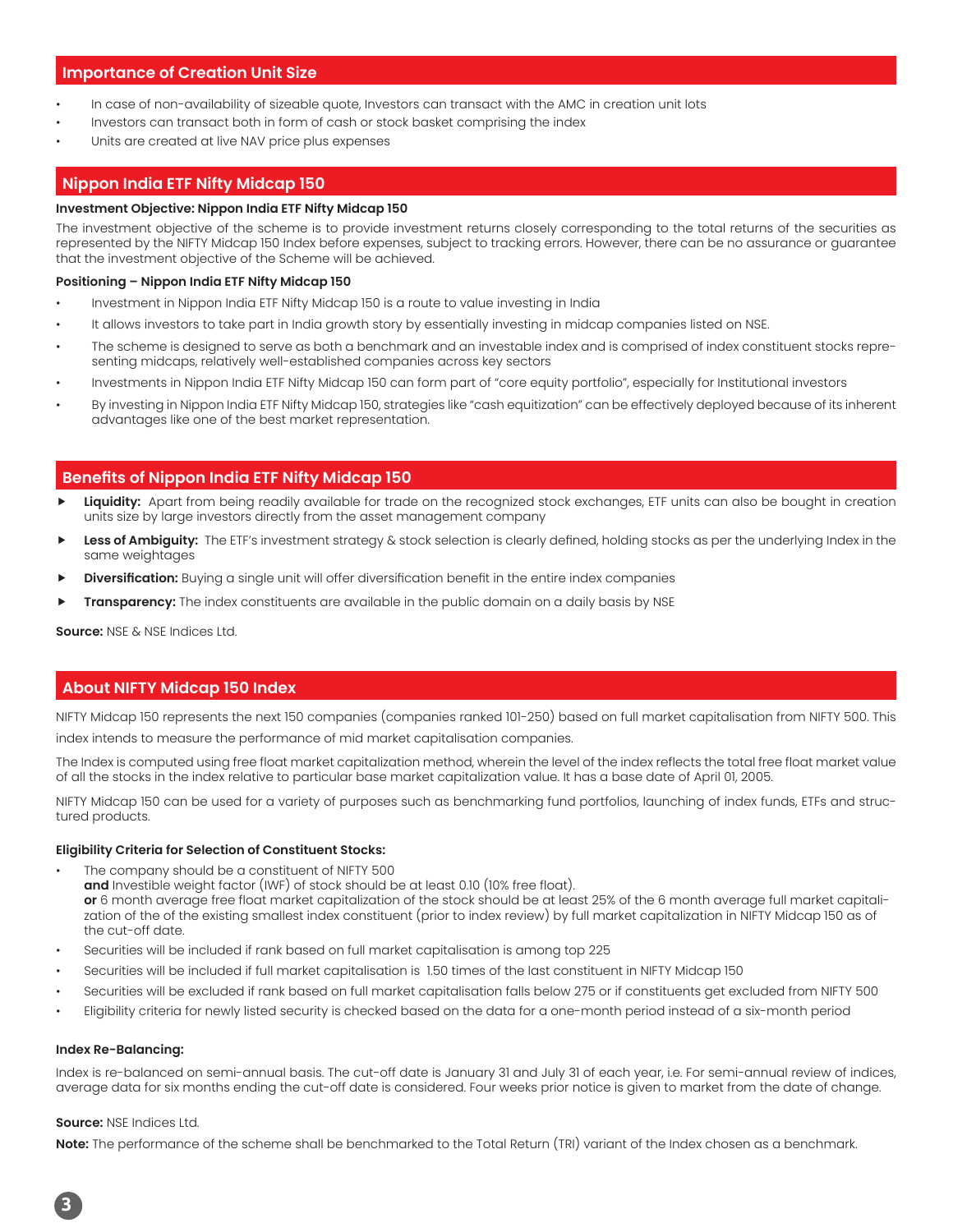### **Importance of Creation Unit Size**

- In case of non-availability of sizeable quote, Investors can transact with the AMC in creation unit lots
- Investors can transact both in form of cash or stock basket comprising the index
- Units are created at live NAV price plus expenses

### **Nippon India ETF Nifty Midcap 150**

#### **Investment Objective: Nippon India ETF Nifty Midcap 150**

The investment objective of the scheme is to provide investment returns closely corresponding to the total returns of the securities as represented by the NIFTY Midcap 150 Index before expenses, subject to tracking errors. However, there can be no assurance or guarantee that the investment objective of the Scheme will be achieved.

#### **Positioning – Nippon India ETF Nifty Midcap 150**

- Investment in Nippon India ETF Nifty Midcap 150 is a route to value investing in India
- It allows investors to take part in India growth story by essentially investing in midcap companies listed on NSE.
- The scheme is designed to serve as both a benchmark and an investable index and is comprised of index constituent stocks representing midcaps, relatively well-established companies across key sectors
- Investments in Nippon India ETF Nifty Midcap 150 can form part of "core equity portfolio", especially for Institutional investors
- By investing in Nippon India ETF Nifty Midcap 150, strategies like "cash equitization" can be effectively deployed because of its inherent advantages like one of the best market representation.

### **Benefits of Nippon India ETF Nifty Midcap 150**

- **Liquidity:** Apart from being readily available for trade on the recognized stock exchanges, ETF units can also be bought in creation units size by large investors directly from the asset management company
- Less of Ambiguity: The ETF's investment strategy & stock selection is clearly defined, holding stocks as per the underlying Index in the same weightages
- **Diversification:** Buying a single unit will offer diversification benefit in the entire index companies
- **Transparency:** The index constituents are available in the public domain on a daily basis by NSE

**Source:** NSE & NSE Indices Ltd.

### **About NIFTY Midcap 150 Index**

NIFTY Midcap 150 represents the next 150 companies (companies ranked 101-250) based on full market capitalisation from NIFTY 500. This index intends to measure the performance of mid market capitalisation companies.

The Index is computed using free float market capitalization method, wherein the level of the index reflects the total free float market value of all the stocks in the index relative to particular base market capitalization value. It has a base date of April 01, 2005.

NIFTY Midcap 150 can be used for a variety of purposes such as benchmarking fund portfolios, launching of index funds, ETFs and structured products.

#### **Eligibility Criteria for Selection of Constituent Stocks:**

- The company should be a constituent of NIFTY 500
	- **and** Investible weight factor (IWF) of stock should be at least 0.10 (10% free float).

**or** 6 month average free float market capitalization of the stock should be at least 25% of the 6 month average full market capitalization of the of the existing smallest index constituent (prior to index review) by full market capitalization in NIFTY Midcap 150 as of the cut-off date.

- Securities will be included if rank based on full market capitalisation is among top 225
- Securities will be included if full market capitalisation is 1.50 times of the last constituent in NIFTY Midcap 150
- Securities will be excluded if rank based on full market capitalisation falls below 275 or if constituents get excluded from NIFTY 500
- Eligibility criteria for newly listed security is checked based on the data for a one-month period instead of a six-month period

#### **Index Re-Balancing:**

Index is re-balanced on semi-annual basis. The cut-off date is January 31 and July 31 of each year, i.e. For semi-annual review of indices, average data for six months ending the cut-off date is considered. Four weeks prior notice is given to market from the date of change.

#### **Source:** NSE Indices Ltd.

**Note:** The performance of the scheme shall be benchmarked to the Total Return (TRI) variant of the Index chosen as a benchmark.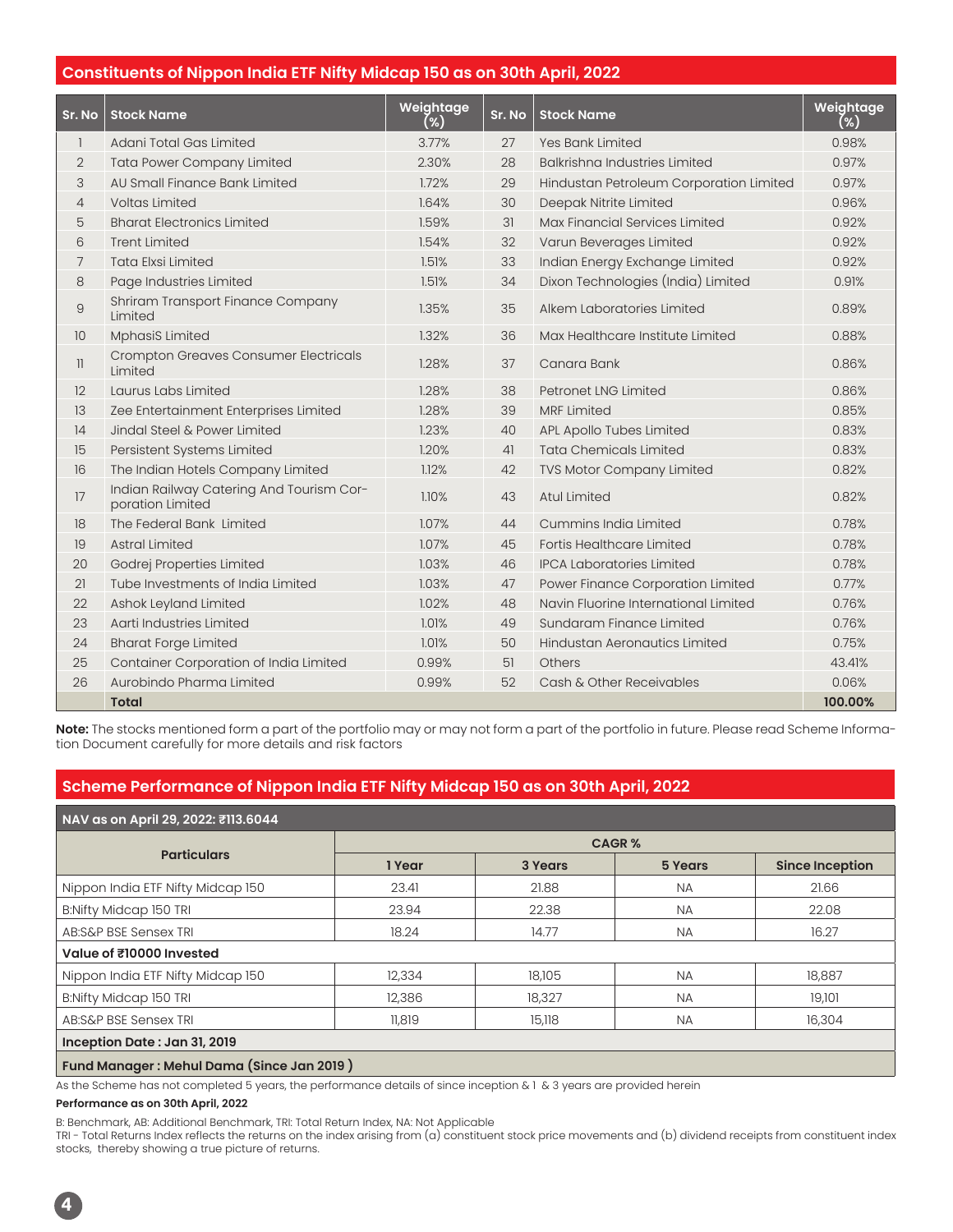### **Constituents of Nippon India ETF Nifty Midcap 150 as on 30th April, 2022**

| Sr. No         | <b>Stock Name</b>                                            | Weightage<br>(%) | Sr. No | <b>Stock Name</b>                       | Weightage<br>(%) |
|----------------|--------------------------------------------------------------|------------------|--------|-----------------------------------------|------------------|
| $\mathbf{1}$   | Adani Total Gas Limited                                      | 3.77%            | 27     | Yes Bank Limited                        | 0.98%            |
| $\overline{2}$ | <b>Tata Power Company Limited</b>                            | 2.30%            | 28     | <b>Balkrishna Industries Limited</b>    | 0.97%            |
| 3              | AU Small Finance Bank Limited                                | 1.72%            | 29     | Hindustan Petroleum Corporation Limited | 0.97%            |
| $\overline{4}$ | <b>Voltas Limited</b>                                        | 1.64%            | 30     | Deepak Nitrite Limited                  | 0.96%            |
| 5              | <b>Bharat Electronics Limited</b>                            | 1.59%            | 31     | Max Financial Services Limited          | 0.92%            |
| 6              | <b>Trent Limited</b>                                         | 1.54%            | 32     | Varun Beverages Limited                 | 0.92%            |
| $\overline{7}$ | <b>Tata Elxsi Limited</b>                                    | 1.51%            | 33     | Indian Energy Exchange Limited          | 0.92%            |
| 8              | Page Industries Limited                                      | 1.51%            | 34     | Dixon Technologies (India) Limited      | 0.91%            |
| 9              | Shriram Transport Finance Company<br>Limited                 | 1.35%            | 35     | Alkem Laboratories Limited              | 0.89%            |
| 10             | <b>MphasiS Limited</b>                                       | 1.32%            | 36     | Max Healthcare Institute Limited        | 0.88%            |
| $\mathbb{I}$   | <b>Crompton Greaves Consumer Electricals</b><br>Limited      | 1.28%            | 37     | Canara Bank                             | 0.86%            |
| 12             | Laurus Labs Limited                                          | 1.28%            | 38     | Petronet LNG Limited                    | 0.86%            |
| 13             | Zee Entertainment Enterprises Limited                        | 1.28%            | 39     | <b>MRF Limited</b>                      | 0.85%            |
| 14             | Jindal Steel & Power Limited                                 | 1.23%            | 40     | APL Apollo Tubes Limited                | 0.83%            |
| 15             | Persistent Systems Limited                                   | 1.20%            | 41     | <b>Tata Chemicals Limited</b>           | 0.83%            |
| 16             | The Indian Hotels Company Limited                            | 1.12%            | 42     | TVS Motor Company Limited               | 0.82%            |
| 17             | Indian Railway Catering And Tourism Cor-<br>poration Limited | 1.10%            | 43     | <b>Atul Limited</b>                     | 0.82%            |
| 18             | The Federal Bank Limited                                     | 1.07%            | 44     | Cummins India Limited                   | 0.78%            |
| 19             | <b>Astral Limited</b>                                        | 1.07%            | 45     | Fortis Healthcare Limited               | 0.78%            |
| 20             | Godrej Properties Limited                                    | 1.03%            | 46     | <b>IPCA Laboratories Limited</b>        | 0.78%            |
| 21             | Tube Investments of India Limited                            | 1.03%            | 47     | Power Finance Corporation Limited       | 0.77%            |
| 22             | Ashok Leyland Limited                                        | 1.02%            | 48     | Navin Fluorine International Limited    | 0.76%            |
| 23             | Aarti Industries Limited                                     | 1.01%            | 49     | Sundaram Finance Limited                | 0.76%            |
| 24             | <b>Bharat Forge Limited</b>                                  | 1.01%            | 50     | Hindustan Aeronautics Limited           | 0.75%            |
| 25             | Container Corporation of India Limited                       | 0.99%            | 51     | <b>Others</b>                           | 43.41%           |
| 26             | Aurobindo Pharma Limited                                     | 0.99%            | 52     | Cash & Other Receivables                | 0.06%            |
|                | <b>Total</b>                                                 |                  |        |                                         | 100.00%          |

**Note:** The stocks mentioned form a part of the portfolio may or may not form a part of the portfolio in future. Please read Scheme Information Document carefully for more details and risk factors

## **Scheme Performance of Nippon India ETF Nifty Midcap 150 as on 30th April, 2022**

| NAV as on April 29, 2022: ₹113.6044       |              |         |           |                        |  |
|-------------------------------------------|--------------|---------|-----------|------------------------|--|
| <b>Particulars</b>                        | <b>CAGR%</b> |         |           |                        |  |
|                                           | 1 Year       | 3 Years | 5 Years   | <b>Since Inception</b> |  |
| Nippon India ETF Nifty Midcap 150         | 23.41        | 21.88   | <b>NA</b> | 21.66                  |  |
| <b>B:Nifty Midcap 150 TRI</b>             | 23.94        | 22.38   | <b>NA</b> | 22.08                  |  |
| AB:S&P BSE Sensex TRI                     | 18.24        | 14.77   | <b>NA</b> | 16.27                  |  |
| Value of ₹10000 Invested                  |              |         |           |                        |  |
| Nippon India ETF Nifty Midcap 150         | 12,334       | 18,105  | <b>NA</b> | 18,887                 |  |
| B:Nifty Midcap 150 TRI                    | 12,386       | 18,327  | <b>NA</b> | 19,101                 |  |
| AB:S&P BSE Sensex TRI                     | 11.819       | 15,118  | <b>NA</b> | 16,304                 |  |
| Inception Date: Jan 31, 2019              |              |         |           |                        |  |
| Fund Manager: Mehul Dama (Since Jan 2019) |              |         |           |                        |  |

As the Scheme has not completed 5 years, the performance details of since inception & 1 & 3 years are provided herein

#### **Performance as on 30th April, 2022**

B: Benchmark, AB: Additional Benchmark, TRI: Total Return Index, NA: Not Applicable

TRI - Total Returns Index reflects the returns on the index arising from (a) constituent stock price movements and (b) dividend receipts from constituent index stocks, thereby showing a true picture of returns.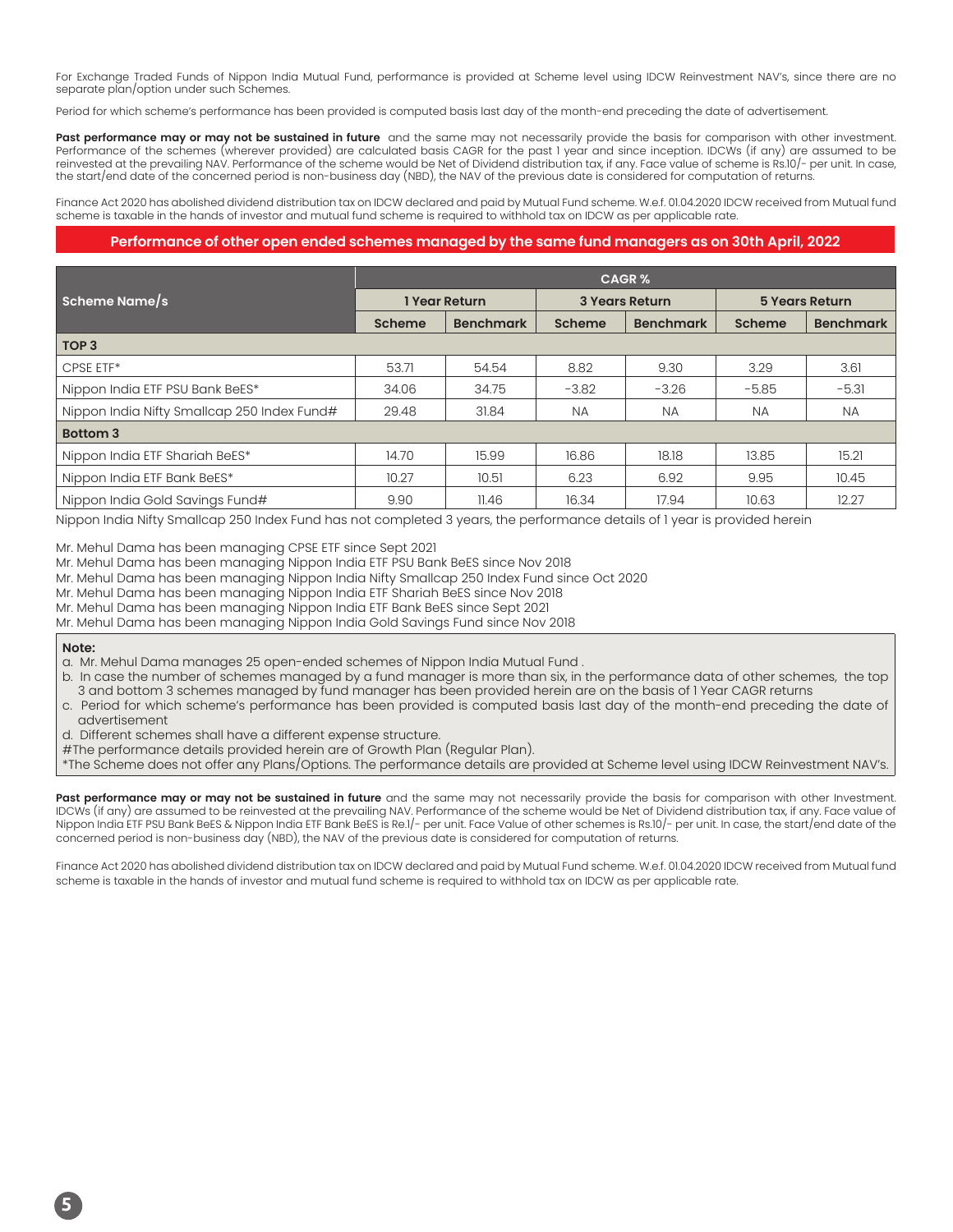For Exchange Traded Funds of Nippon India Mutual Fund, performance is provided at Scheme level using IDCW Reinvestment NAV's, since there are no separate plan/option under such Schemes.

Period for which scheme's performance has been provided is computed basis last day of the month-end preceding the date of advertisement.

Past performance may or may not be sustained in future and the same may not necessarily provide the basis for comparison with other investment. Performance of the schemes (wherever provided) are calculated basis CAGR for the past 1 year and since inception. IDCWs (if any) are assumed to be reinvested at the prevailing NAV. Performance of the scheme would be Net of Dividend distribution tax, if any. Face value of scheme is Rs.10/- per unit. In case, the start/end date of the concerned period is non-business day (NBD), the NAV of the previous date is considered for computation of returns.

Finance Act 2020 has abolished dividend distribution tax on IDCW declared and paid by Mutual Fund scheme. W.e.f. 01.04.2020 IDCW received from Mutual fund scheme is taxable in the hands of investor and mutual fund scheme is required to withhold tax on IDCW as per applicable rate.

#### **Performance of other open ended schemes managed by the same fund managers as on 30th April, 2022**

|                                             | <b>CAGR%</b>  |                  |                       |                  |                       |                  |
|---------------------------------------------|---------------|------------------|-----------------------|------------------|-----------------------|------------------|
| <b>Scheme Name/s</b>                        | 1 Year Return |                  | <b>3 Years Return</b> |                  | <b>5 Years Return</b> |                  |
|                                             | Scheme        | <b>Benchmark</b> | Scheme                | <b>Benchmark</b> | Scheme                | <b>Benchmark</b> |
| TOP <sub>3</sub>                            |               |                  |                       |                  |                       |                  |
| CPSE ETF*                                   | 53.71         | 54.54            | 8.82                  | 9.30             | 3.29                  | 3.61             |
| Nippon India ETF PSU Bank BeES*             | 34.06         | 34.75            | $-3.82$               | $-3.26$          | $-5.85$               | $-5.31$          |
| Nippon India Nifty Smallcap 250 Index Fund# | 29.48         | 31.84            | <b>NA</b>             | <b>NA</b>        | <b>NA</b>             | <b>NA</b>        |
| <b>Bottom 3</b>                             |               |                  |                       |                  |                       |                  |
| Nippon India ETF Shariah BeES*              | 14.70         | 15.99            | 16.86                 | 18.18            | 13.85                 | 15.21            |
| Nippon India ETF Bank BeES*                 | 10.27         | 10.51            | 6.23                  | 6.92             | 9.95                  | 10.45            |
| Nippon India Gold Savings Fund#             | 9.90          | 11.46            | 16.34                 | 17.94            | 10.63                 | 12.27            |

Nippon India Nifty Smallcap 250 Index Fund has not completed 3 years, the performance details of 1 year is provided herein

Mr. Mehul Dama has been managing CPSE ETF since Sept 2021

Mr. Mehul Dama has been managing Nippon India ETF PSU Bank BeES since Nov 2018

Mr. Mehul Dama has been managing Nippon India Nifty Smallcap 250 Index Fund since Oct 2020

Mr. Mehul Dama has been managing Nippon India ETF Shariah BeES since Nov 2018

Mr. Mehul Dama has been managing Nippon India ETF Bank BeES since Sept 2021

Mr. Mehul Dama has been managing Nippon India Gold Savings Fund since Nov 2018

#### **Note:**

a. Mr. Mehul Dama manages 25 open-ended schemes of Nippon India Mutual Fund .

- b. In case the number of schemes managed by a fund manager is more than six, in the performance data of other schemes, the top 3 and bottom 3 schemes managed by fund manager has been provided herein are on the basis of 1 Year CAGR returns
- c. Period for which scheme's performance has been provided is computed basis last day of the month-end preceding the date of advertisement
- d. Different schemes shall have a different expense structure.
- #The performance details provided herein are of Growth Plan (Regular Plan).

\*The Scheme does not offer any Plans/Options. The performance details are provided at Scheme level using IDCW Reinvestment NAV's.

Past performance may or may not be sustained in future and the same may not necessarily provide the basis for comparison with other Investment. IDCWs (if any) are assumed to be reinvested at the prevailing NAV. Performance of the scheme would be Net of Dividend distribution tax, if any. Face value of Nippon India ETF PSU Bank BeES & Nippon India ETF Bank BeES is Re.1/- per unit. Face Value of other schemes is Rs.10/- per unit. In case, the start/end date of the concerned period is non-business day (NBD), the NAV of the previous date is considered for computation of returns.

Finance Act 2020 has abolished dividend distribution tax on IDCW declared and paid by Mutual Fund scheme. W.e.f. 01.04.2020 IDCW received from Mutual fund scheme is taxable in the hands of investor and mutual fund scheme is required to withhold tax on IDCW as per applicable rate.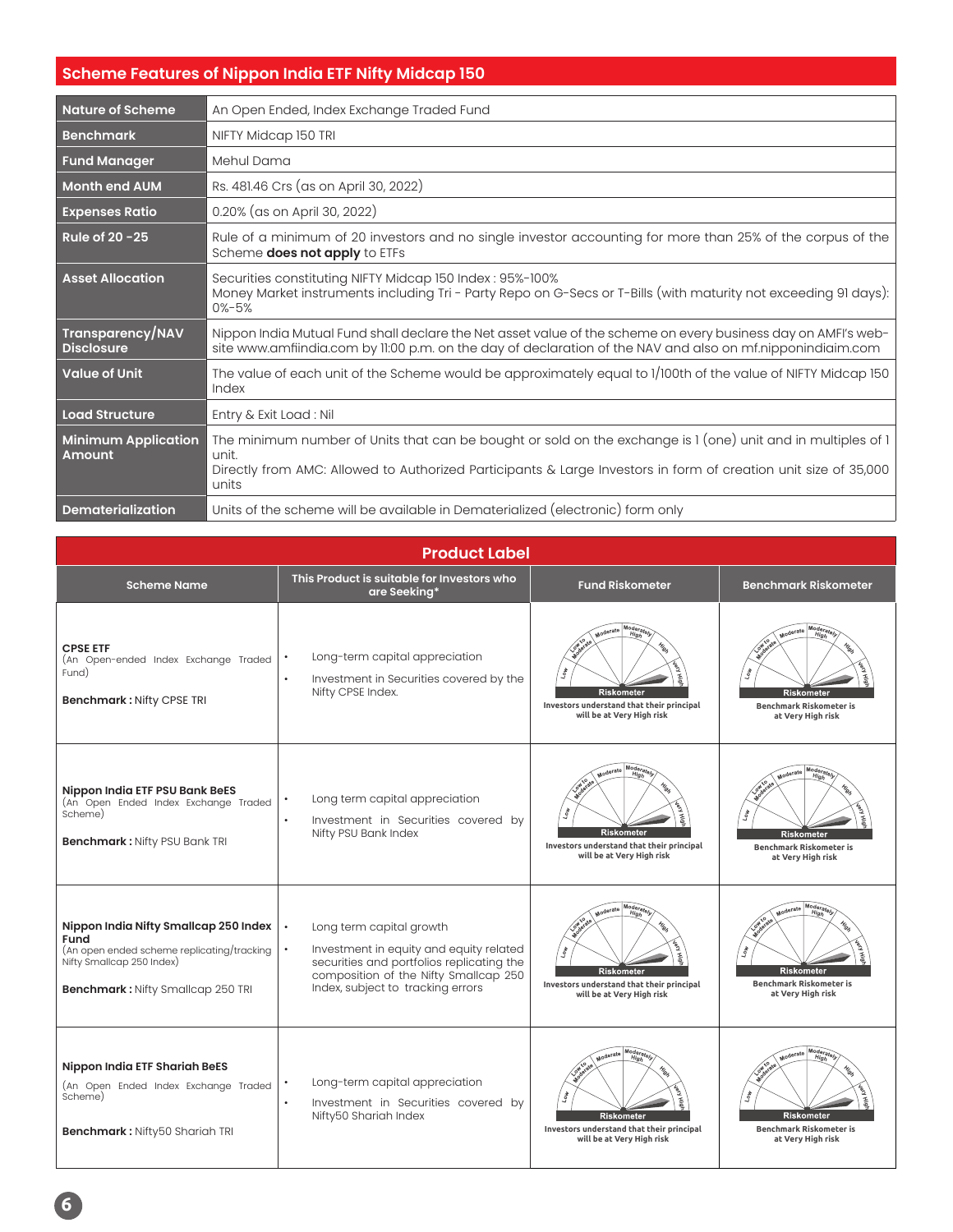# **Scheme Features of Nippon India ETF Nifty Midcap 150**

| <b>Nature of Scheme</b>                     | An Open Ended, Index Exchange Traded Fund                                                                                                                                                                                                         |
|---------------------------------------------|---------------------------------------------------------------------------------------------------------------------------------------------------------------------------------------------------------------------------------------------------|
| <b>Benchmark</b>                            | NIFTY Midcap 150 TRI                                                                                                                                                                                                                              |
| <b>Fund Manager</b>                         | Mehul Dama                                                                                                                                                                                                                                        |
| <b>Month end AUM</b>                        | Rs. 481.46 Crs (as on April 30, 2022)                                                                                                                                                                                                             |
| <b>Expenses Ratio</b>                       | 0.20% (as on April 30, 2022)                                                                                                                                                                                                                      |
| Rule of 20 - 25                             | Rule of a minimum of 20 investors and no single investor accounting for more than 25% of the corpus of the<br>Scheme does not apply to ETFs                                                                                                       |
| <b>Asset Allocation</b>                     | Securities constituting NIFTY Midcap 150 Index: 95%-100%<br>Money Market instruments including Tri - Party Repo on G-Secs or T-Bills (with maturity not exceeding 91 days):<br>$0% - 5%$                                                          |
| Transparency/NAV<br><b>Disclosure</b>       | Nippon India Mutual Fund shall declare the Net asset value of the scheme on every business day on AMFI's web-<br>site www.amfiindia.com by 11:00 p.m. on the day of declaration of the NAV and also on mf.nipponindiaim.com                       |
| <b>Value of Unit</b>                        | The value of each unit of the Scheme would be approximately equal to 1/100th of the value of NIFTY Midcap 150<br>Index                                                                                                                            |
| Load Structure                              | Entry & Exit Load: Nil                                                                                                                                                                                                                            |
| <b>Minimum Application</b><br><b>Amount</b> | The minimum number of Units that can be bought or sold on the exchange is 1 (one) unit and in multiples of 1<br>unit.<br>Directly from AMC: Allowed to Authorized Participants & Large Investors in form of creation unit size of 35,000<br>units |
| Dematerialization                           | Units of the scheme will be available in Dematerialized (electronic) form only                                                                                                                                                                    |

| <b>Product Label</b>                                                                                                                                                 |                                                                                                                                                                                                |                                                                                                                          |                                                                                                                                                                |  |  |
|----------------------------------------------------------------------------------------------------------------------------------------------------------------------|------------------------------------------------------------------------------------------------------------------------------------------------------------------------------------------------|--------------------------------------------------------------------------------------------------------------------------|----------------------------------------------------------------------------------------------------------------------------------------------------------------|--|--|
| <b>Scheme Name</b>                                                                                                                                                   | This Product is suitable for Investors who<br>are Seeking*                                                                                                                                     | <b>Fund Riskometer</b>                                                                                                   | <b>Benchmark Riskometer</b>                                                                                                                                    |  |  |
| <b>CPSE ETF</b><br>(An Open-ended Index Exchange Traded<br>Fund)<br>Benchmark: Nifty CPSE TRI                                                                        | Long-term capital appreciation<br>Investment in Securities covered by the<br>$\bullet$<br>Nifty CPSE Index.                                                                                    | Moderate<br><b>Riskometer</b><br>Investors understand that their principal<br>will be at Very High risk                  | Moderate<br><b>Riskometer</b><br><b>Benchmark Riskometer is</b><br>at Very High risk                                                                           |  |  |
| Nippon India ETF PSU Bank BeES<br>(An Open Ended Index Exchange Traded<br>Scheme)<br><b>Benchmark: Nifty PSU Bank TRI</b>                                            | Long term capital appreciation<br>Investment in Securities covered by<br>$\bullet$<br>Nifty PSU Bank Index                                                                                     | Moderat<br>Moderate<br>Riskometer<br>Investors understand that their principal<br>will be at Very High risk              | Moderat<br>Moderate<br>High<br><b>Riskometer</b><br><b>Benchmark Riskometer is</b><br>at Very High risk                                                        |  |  |
| Nippon India Nifty Smallcap 250 Index<br>Fund<br>(An open ended scheme replicating/tracking<br>Nifty Smallcap 250 Index)<br><b>Benchmark: Nifty Smallcap 250 TRI</b> | Long term capital growth<br>Investment in equity and equity related<br>securities and portfolios replicating the<br>composition of the Nifty Smallcap 250<br>Index, subject to tracking errors | Moderate<br>Moderate<br><b>Riskometer</b><br>Investors understand that their principal<br>will be at Very High risk      | $ \widehat{\stackrel{\mathsf{Moders}}{\mathit{High}}}_{\mathit{High}}$<br>Moderate<br><b>Riskometer</b><br><b>Benchmark Riskometer is</b><br>at Very High risk |  |  |
| Nippon India ETF Shariah BeES<br>(An Open Ended Index Exchange Traded<br>Scheme)<br><b>Benchmark: Nifty50 Shariah TRI</b>                                            | Long-term capital appreciation<br>Investment in Securities covered by<br>$\bullet$<br>Nifty50 Shariah Index                                                                                    | Moder<br>Moderate<br>Higi<br><b>Riskometer</b><br>Investors understand that their principal<br>will be at Very High risk | Modera<br>Moderate<br>Hig<br><b>Riskometer</b><br><b>Benchmark Riskometer is</b><br>at Very High risk                                                          |  |  |